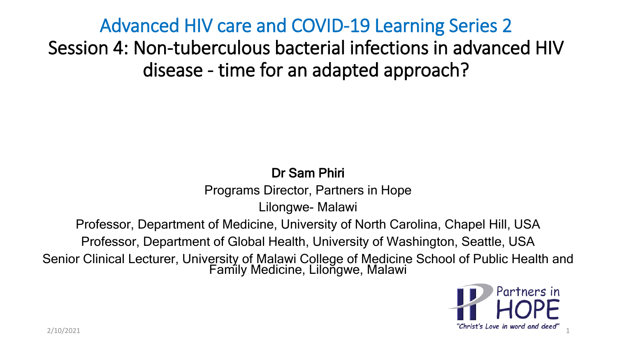Advanced HIV care and COVID-19 Learning Series 2 Session 4: Non-tuberculous bacterial infections in advanced HIV disease - time for an adapted approach?

### Dr Sam Phiri

Programs Director, Partners in Hope

Lilongwe- Malawi

Professor, Department of Medicine, University of North Carolina, Chapel Hill, USA

Professor, Department of Global Health, University of Washington, Seattle, USA

Senior Clinical Lecturer, University of Malawi College of Medicine School of Public Health and Family Medicine, Lilongwe, Malawi

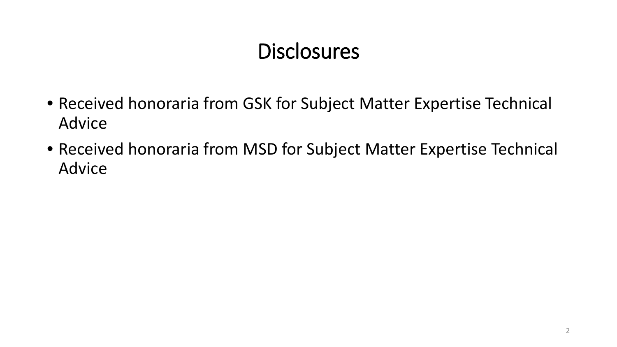### **Disclosures**

- Received honoraria from GSK for Subject Matter Expertise Technical Advice
- Received honoraria from MSD for Subject Matter Expertise Technical Advice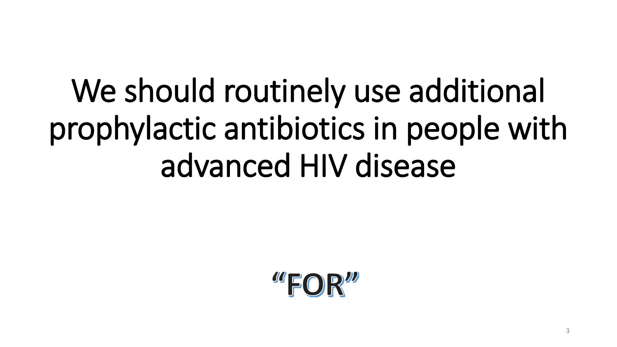# We should routinely use additional prophylactic antibiotics in people with advanced HIV disease

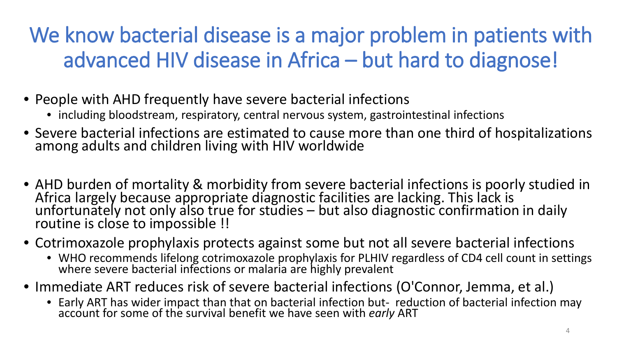## We know bacterial disease is a major problem in patients with advanced HIV disease in Africa – but hard to diagnose!

- People with AHD frequently have severe bacterial infections
	- including bloodstream, respiratory, central nervous system, gastrointestinal infections
- Severe bacterial infections are estimated to cause more than one third of hospitalizations among adults and children living with HIV worldwide
- AHD burden of mortality & morbidity from severe bacterial infections is poorly studied in Africa largely because appropriate diagnostic facilities are lacking. This lack is unfortunately not only also true for studies – but also diagnostic confirmation in daily<br>routine is close to impossible !!
- Cotrimoxazole prophylaxis protects against some but not all severe bacterial infections
	- WHO recommends lifelong cotrimoxazole prophylaxis for PLHIV regardless of CD4 cell count in settings where severe bacterial infections or malaria are highly prevalent
- Immediate ART reduces risk of severe bacterial infections (O'Connor, Jemma, et al.)
	- Early ART has wider impact than that on bacterial infection but- reduction of bacterial infection may account for some of the survival benefit we have seen with *early* ART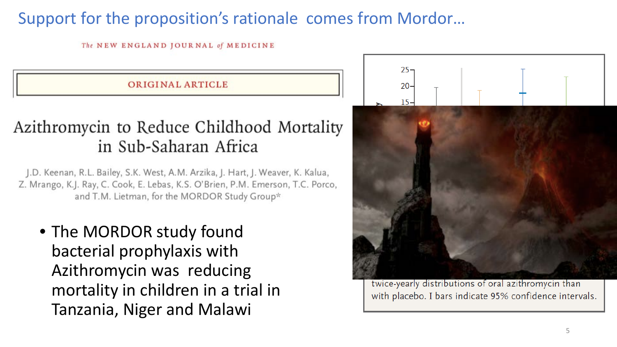### Support for the proposition's rationale comes from Mordor…

The NEW ENGLAND JOURNAL of MEDICINE

**ORIGINAL ARTICLE** 

### Azithromycin to Reduce Childhood Mortality in Sub-Saharan Africa

J.D. Keenan, R.L. Bailey, S.K. West, A.M. Arzika, J. Hart, J. Weaver, K. Kalua, Z. Mrango, K.J. Ray, C. Cook, E. Lebas, K.S. O'Brien, P.M. Emerson, T.C. Porco, and T.M. Lietman, for the MORDOR Study Group\*

• The MORDOR study found bacterial prophylaxis with Azithromycin was reducing mortality in children in a trial in Tanzania, Niger and Malawi



twice-yearly distributions of oral azithromycin than with placebo. I bars indicate 95% confidence intervals.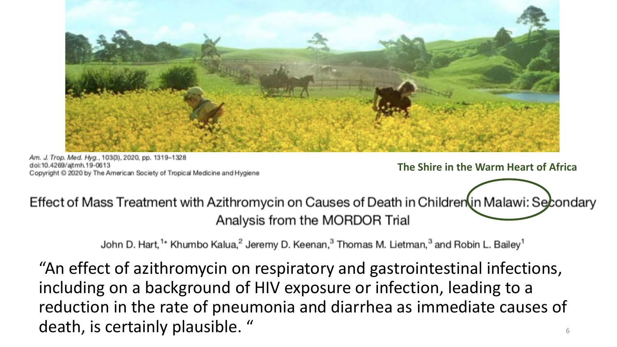

Am. J. Trop. Med. Hyg., 103(3), 2020, pp. 1319-1328 doi:10.4269/aitmh.19-0613 Copyright @ 2020 by The American Society of Tropical Medicine and Hygiene

**The Shire in the Warm Heart of Africa**

Effect of Mass Treatment with Azithromycin on Causes of Death in Children in Malawi: Secondary Analysis from the MORDOR Trial

John D. Hart,<sup>1\*</sup> Khumbo Kalua,<sup>2</sup> Jeremy D. Keenan,<sup>3</sup> Thomas M. Lietman,<sup>3</sup> and Robin L. Bailey<sup>1</sup>

6 "An effect of azithromycin on respiratory and gastrointestinal infections, including on a background of HIV exposure or infection, leading to a reduction in the rate of pneumonia and diarrhea as immediate causes of death, is certainly plausible. "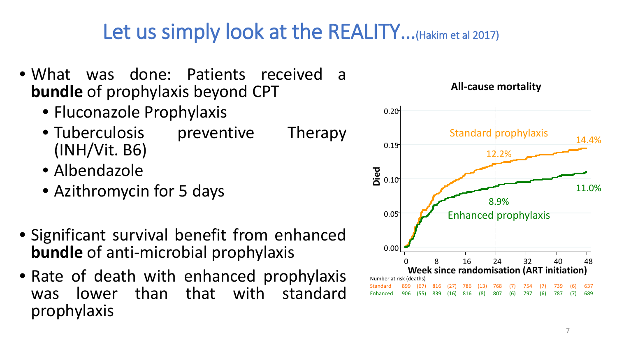### Let us simply look at the REALITY...(Hakim et al 2017)

- What was done: Patients received a **bundle** of prophylaxis beyond CPT
	- Fluconazole Prophylaxis
	- Tuberculosis preventive Therapy (INH/Vit. B6)
	- Albendazole
	- Azithromycin for 5 days
- Significant survival benefit from enhanced **bundle** of anti-microbial prophylaxis
- Rate of death with enhanced prophylaxis was lower than that with standard prophylaxis



#### **All-cause mortality**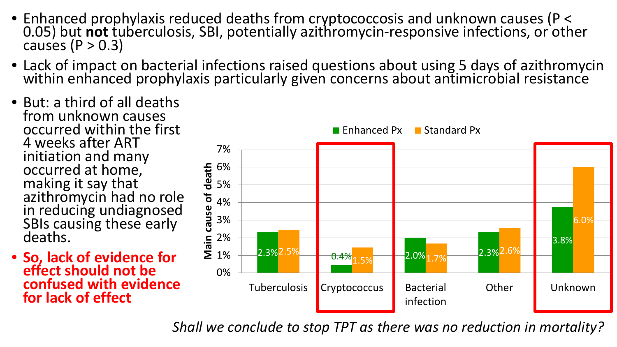- Enhanced prophylaxis reduced deaths from cryptococcosis and unknown causes (P < 0.05) but **not** tuberculosis, SBI, potentially azithromycin-responsive infections, or other causes (P > 0.3)
- Lack of impact on bacterial infections raised questions about using 5 days of azithromycin within enhanced prophylaxis particularly given concerns about antimicrobial resistance
- But: a third of all deaths from unknown causes occurred within the first 4 weeks after ART initiation and many occurred at home, making it say that azithromycin had no role in reducing undiagnosed SBIs causing these early deaths.
- **So, lack of evidence for effect should not be confused with evidence for lack of effect**



*Shall we conclude to stop TPT as there was no reduction in mortality?*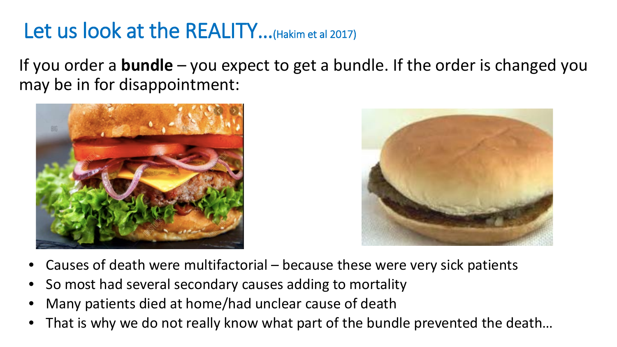### Let us look at the REALITY...(Hakim et al 2017)

If you order a **bundle** – you expect to get a bundle. If the order is changed you may be in for disappointment:





- Causes of death were multifactorial because these were very sick patients
- So most had several secondary causes adding to mortality
- Many patients died at home/had unclear cause of death
- That is why we do not really know what part of the bundle prevented the death...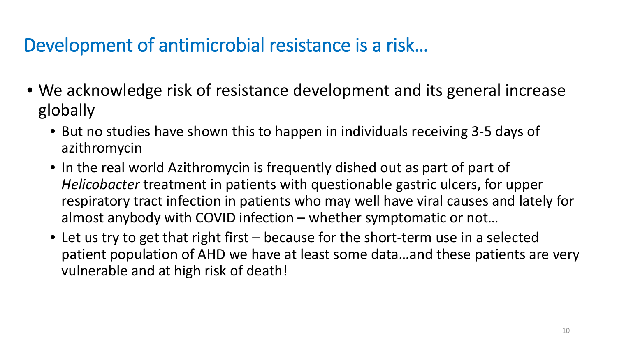### Development of antimicrobial resistance is a risk…

- We acknowledge risk of resistance development and its general increase globally
	- But no studies have shown this to happen in individuals receiving 3-5 days of azithromycin
	- In the real world Azithromycin is frequently dished out as part of part of *Helicobacter* treatment in patients with questionable gastric ulcers, for upper respiratory tract infection in patients who may well have viral causes and lately for almost anybody with COVID infection – whether symptomatic or not…
	- Let us try to get that right first because for the short-term use in a selected patient population of AHD we have at least some data…and these patients are very vulnerable and at high risk of death!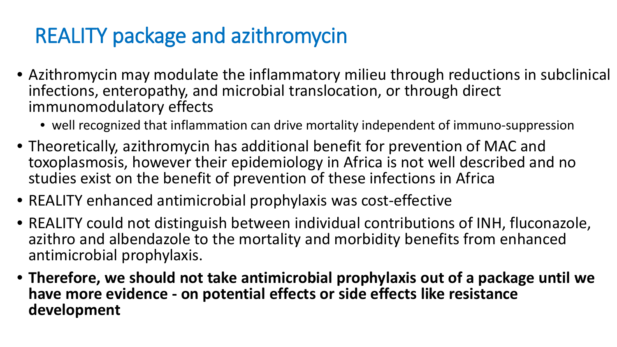### REALITY package and azithromycin

- Azithromycin may modulate the inflammatory milieu through reductions in subclinical infections, enteropathy, and microbial translocation, or through direct immunomodulatory effects
	- well recognized that inflammation can drive mortality independent of immuno-suppression
- Theoretically, azithromycin has additional benefit for prevention of MAC and toxoplasmosis, however their epidemiology in Africa is not well described and no studies exist on the benefit of prevention of these infections in Africa
- REALITY enhanced antimicrobial prophylaxis was cost-effective
- REALITY could not distinguish between individual contributions of INH, fluconazole, azithro and albendazole to the mortality and morbidity benefits from enhanced antimicrobial prophylaxis.
- **Therefore, we should not take antimicrobial prophylaxis out of a package until we have more evidence - on potential effects or side effects like resistance development**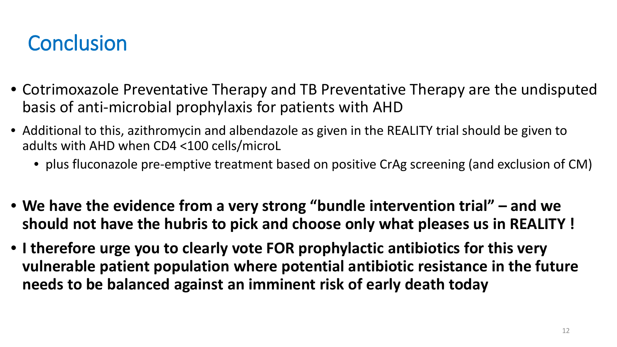### **Conclusion**

- Cotrimoxazole Preventative Therapy and TB Preventative Therapy are the undisputed basis of anti-microbial prophylaxis for patients with AHD
- Additional to this, azithromycin and albendazole as given in the REALITY trial should be given to adults with AHD when CD4 <100 cells/microL
	- plus fluconazole pre-emptive treatment based on positive CrAg screening (and exclusion of CM)
- **We have the evidence from a very strong "bundle intervention trial" – and we should not have the hubris to pick and choose only what pleases us in REALITY !**
- **I therefore urge you to clearly vote FOR prophylactic antibiotics for this very vulnerable patient population where potential antibiotic resistance in the future needs to be balanced against an imminent risk of early death today**